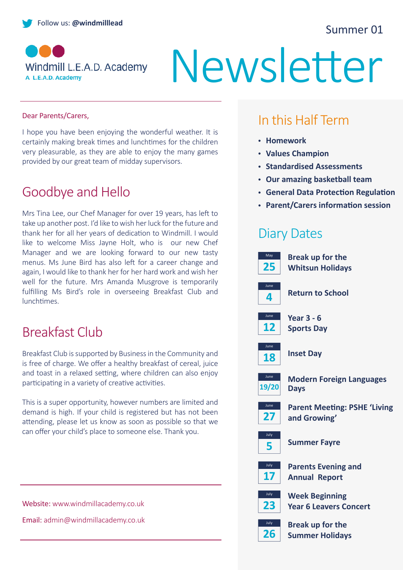#### Summer 01



# Newsletter

#### Dear Parents/Carers,

I hope you have been enjoying the wonderful weather. It is certainly making break times and lunchtimes for the children very pleasurable, as they are able to enjoy the many games provided by our great team of midday supervisors.

# Goodbye and Hello

Mrs Tina Lee, our Chef Manager for over 19 years, has left to take up another post. I'd like to wish her luck for the future and thank her for all her years of dedication to Windmill. I would like to welcome Miss Jayne Holt, who is our new Chef Manager and we are looking forward to our new tasty menus. Ms June Bird has also left for a career change and again, I would like to thank her for her hard work and wish her well for the future. Mrs Amanda Musgrove is temporarily fulfilling Ms Bird's role in overseeing Breakfast Club and lunchtimes.

### Breakfast Club

Breakfast Club is supported by Business in the Community and is free of charge. We offer a healthy breakfast of cereal, juice and toast in a relaxed setting, where children can also enjoy participating in a variety of creative activities.

This is a super opportunity, however numbers are limited and demand is high. If your child is registered but has not been attending, please let us know as soon as possible so that we can offer your child's place to someone else. Thank you.

#### Website: www.windmillacademy.co.uk Email: admin@windmillacademy.co.uk

# In this Half Term

- **Homework**
- **Values Champion**
- **Standardised Assessments**
- **Our amazing basketball team**
- **General Data Protection Regulation**
- **Parent/Carers information session**

#### Diary Dates

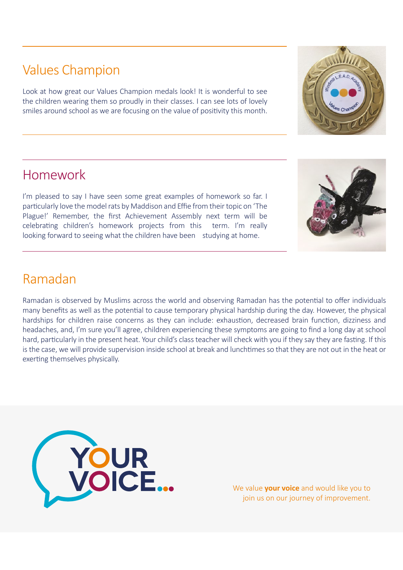# Values Champion

Look at how great our Values Champion medals look! It is wonderful to see the children wearing them so proudly in their classes. I can see lots of lovely smiles around school as we are focusing on the value of positivity this month.

### Homework

I'm pleased to say I have seen some great examples of homework so far. I particularly love the model rats by Maddison and Effie from their topic on 'The Plague!' Remember, the first Achievement Assembly next term will be celebrating children's homework projects from this term. I'm really looking forward to seeing what the children have been studying at home.

#### Ramadan

Ramadan is observed by Muslims across the world and observing Ramadan has the potential to offer individuals many benefits as well as the potential to cause temporary physical hardship during the day. However, the physical hardships for children raise concerns as they can include: exhaustion, decreased brain function, dizziness and headaches, and, I'm sure you'll agree, children experiencing these symptoms are going to find a long day at school hard, particularly in the present heat. Your child's class teacher will check with you if they say they are fasting. If this is the case, we will provide supervision inside school at break and lunchtimes so that they are not out in the heat or exerting themselves physically.

> We value **your voice** and would like you to join us on our journey of improvement.